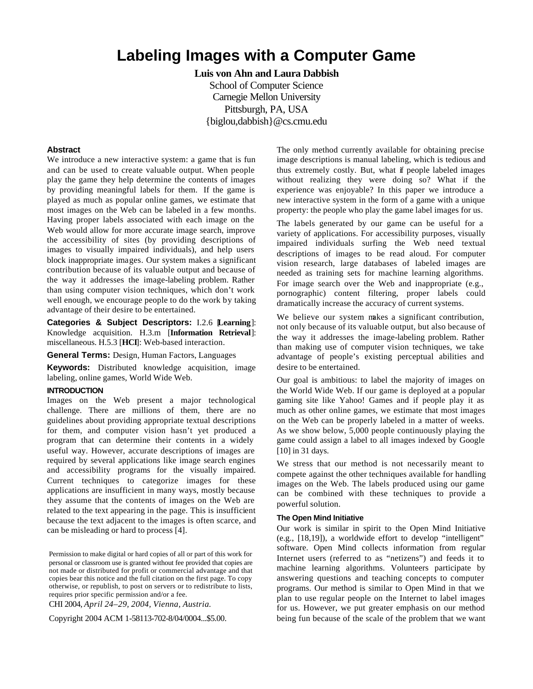# **Labeling Images with a Computer Game**

**Luis von Ahn and Laura Dabbish**

School of Computer Science Carnegie Mellon University Pittsburgh, PA, USA {biglou,dabbish}@cs.cmu.edu

## **Abstract**

We introduce a new interactive system: a game that is fun and can be used to create valuable output. When people play the game they help determine the contents of images by providing meaningful labels for them. If the game is played as much as popular online games, we estimate that most images on the Web can be labeled in a few months. Having proper labels associated with each image on the Web would allow for more accurate image search, improve the accessibility of sites (by providing descriptions of images to visually impaired individuals), and help users block inappropriate images. Our system makes a significant contribution because of its valuable output and because of the way it addresses the image-labeling problem. Rather than using computer vision techniques, which don't work well enough, we encourage people to do the work by taking advantage of their desire to be entertained.

**Categories & Subject Descriptors:** I.2.6 [**Learning**]: Knowledge acquisition. H.3.m [**Information Retrieval**]: miscellaneous. H.5.3 [**HCI**]: Web-based interaction.

**General Terms:** Design, Human Factors, Languages

**Keywords:** Distributed knowledge acquisition, image labeling, online games, World Wide Web.

#### **INTRODUCTION**

Images on the Web present a major technological challenge. There are millions of them, there are no guidelines about providing appropriate textual descriptions for them, and computer vision hasn't yet produced a program that can determine their contents in a widely useful way. However, accurate descriptions of images are required by several applications like image search engines and accessibility programs for the visually impaired. Current techniques to categorize images for these applications are insufficient in many ways, mostly because they assume that the contents of images on the Web are related to the text appearing in the page. This is insufficient because the text adjacent to the images is often scarce, and can be misleading or hard to process [4].

Permission to make digital or hard copies of all or part of this work for personal or classroom use is granted without fee provided that copies are not made or distributed for profit or commercial advantage and that copies bear this notice and the full citation on the first page. To copy otherwise, or republish, to post on servers or to redistribute to lists, requires prior specific permission and/or a fee.

CHI 2004, *April 24–29, 2004, Vienna, Austria.*

Copyright 2004 ACM 1-58113-702-8/04/0004...\$5.00.

The only method currently available for obtaining precise image descriptions is manual labeling, which is tedious and thus extremely costly. But, what if people labeled images without realizing they were doing so? What if the experience was enjoyable? In this paper we introduce a new interactive system in the form of a game with a unique property: the people who play the game label images for us.

The labels generated by our game can be useful for a variety of applications. For accessibility purposes, visually impaired individuals surfing the Web need textual descriptions of images to be read aloud. For computer vision research, large databases of labeled images are needed as training sets for machine learning algorithms. For image search over the Web and inappropriate (e.g., pornographic) content filtering, proper labels could dramatically increase the accuracy of current systems.

We believe our system makes a significant contribution, not only because of its valuable output, but also because of the way it addresses the image-labeling problem. Rather than making use of computer vision techniques, we take advantage of people's existing perceptual abilities and desire to be entertained.

Our goal is ambitious: to label the majority of images on the World Wide Web. If our game is deployed at a popular gaming site like Yahoo! Games and if people play it as much as other online games, we estimate that most images on the Web can be properly labeled in a matter of weeks. As we show below, 5,000 people continuously playing the game could assign a label to all images indexed by Google [10] in 31 days.

We stress that our method is not necessarily meant to compete against the other techniques available for handling images on the Web. The labels produced using our game can be combined with these techniques to provide a powerful solution.

#### **The Open Mind Initiative**

Our work is similar in spirit to the Open Mind Initiative (e.g., [18,19]), a worldwide effort to develop "intelligent" software. Open Mind collects information from regular Internet users (referred to as "netizens") and feeds it to machine learning algorithms. Volunteers participate by answering questions and teaching concepts to computer programs. Our method is similar to Open Mind in that we plan to use regular people on the Internet to label images for us. However, we put greater emphasis on our method being fun because of the scale of the problem that we want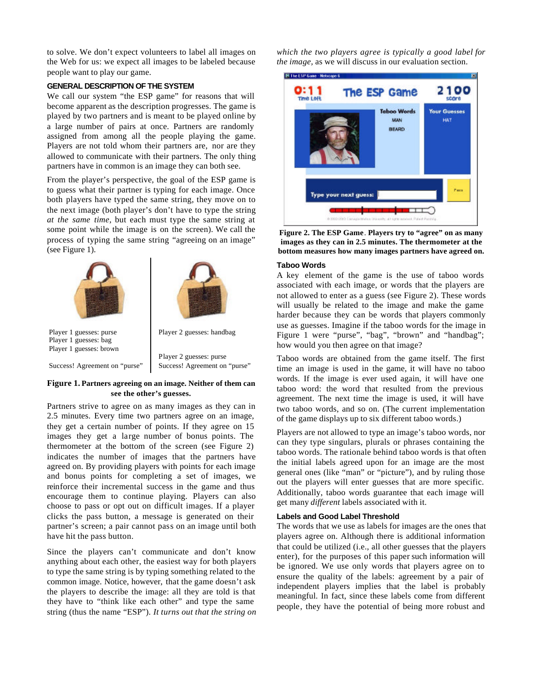to solve. We don't expect volunteers to label all images on the Web for us: we expect all images to be labeled because people want to play our game.

# **GENERAL DESCRIPTION OF THE SYSTEM**

We call our system "the ESP game" for reasons that will become apparent as the description progresses. The game is played by two partners and is meant to be played online by a large number of pairs at once. Partners are randomly assigned from among all the people playing the game. Players are not told whom their partners are, nor are they allowed to communicate with their partners. The only thing partners have in common is an image they can both see.

From the player's perspective, the goal of the ESP game is to guess what their partner is typing for each image. Once both players have typed the same string, they move on to the next image (both player's don't have to type the string *at the same time,* but each must type the same string at some point while the image is on the screen). We call the process of typing the same string "agreeing on an image" (see Figure 1).





Player 1 guesses: purse Player 1 guesses: bag Player 1 guesses: brown

Success! Agreement on "purse"

Player 2 guesses: handbag

Player 2 guesses: purse Success! Agreement on "purse"

## **Figure 1. Partners agreeing on an image. Neither of them can see the other's guesses.**

Partners strive to agree on as many images as they can in 2.5 minutes. Every time two partners agree on an image, they get a certain number of points. If they agree on 15 images they get a large number of bonus points. The thermometer at the bottom of the screen (see Figure 2) indicates the number of images that the partners have agreed on. By providing players with points for each image and bonus points for completing a set of images, we reinforce their incremental success in the game and thus encourage them to continue playing. Players can also choose to pass or opt out on difficult images. If a player clicks the pass button, a message is generated on their partner's screen; a pair cannot pass on an image until both have hit the pass button.

Since the players can't communicate and don't know anything about each other, the easiest way for both players to type the same string is by typing something related to the common image. Notice, however, that the game doesn't ask the players to describe the image: all they are told is that they have to "think like each other" and type the same string (thus the name "ESP"). *It turns out that the string on*  *which the two players agree is typically a good label for the image,* as we will discuss in our evaluation section.



**Figure 2. The ESP Game**. **Players try to "agree" on as many images as they can in 2.5 minutes. The thermometer at the bottom measures how many images partners have agreed on.**

## **Taboo Words**

A key element of the game is the use of taboo words associated with each image, or words that the players are not allowed to enter as a guess (see Figure 2). These words will usually be related to the image and make the game harder because they can be words that players commonly use as guesses. Imagine if the taboo words for the image in Figure 1 were "purse", "bag", "brown" and "handbag"; how would you then agree on that image?

Taboo words are obtained from the game itself. The first time an image is used in the game, it will have no taboo words. If the image is ever used again, it will have one taboo word: the word that resulted from the previous agreement. The next time the image is used, it will have two taboo words, and so on. (The current implementation of the game displays up to six different taboo words.)

Players are not allowed to type an image's taboo words, nor can they type singulars, plurals or phrases containing the taboo words. The rationale behind taboo words is that often the initial labels agreed upon for an image are the most general ones (like "man" or "picture"), and by ruling those out the players will enter guesses that are more specific. Additionally, taboo words guarantee that each image will get many *different* labels associated with it.

# **Labels and Good Label Threshold**

The words that we use as labels for images are the ones that players agree on. Although there is additional information that could be utilized (i.e., all other guesses that the players enter), for the purposes of this paper such information will be ignored. We use only words that players agree on to ensure the quality of the labels: agreement by a pair of independent players implies that the label is probably meaningful. In fact, since these labels come from different people, they have the potential of being more robust and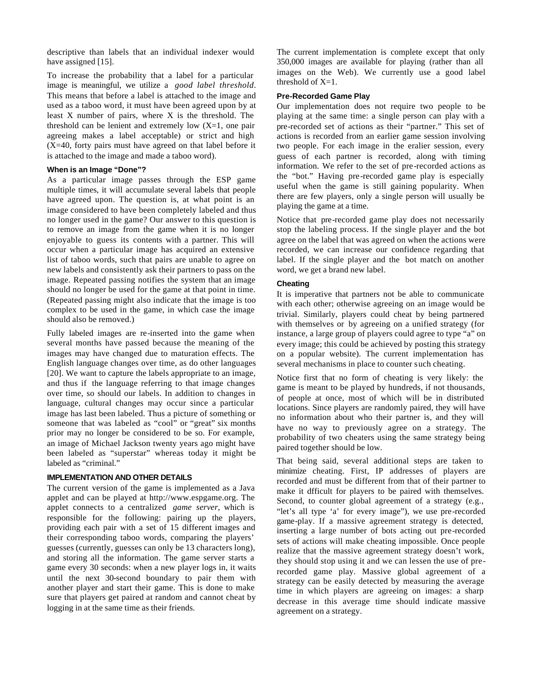descriptive than labels that an individual indexer would have assigned [15].

To increase the probability that a label for a particular image is meaningful, we utilize a *good label threshold*. This means that before a label is attached to the image and used as a taboo word, it must have been agreed upon by at least X number of pairs, where X is the threshold. The threshold can be lenient and extremely low  $(X=1)$ , one pair agreeing makes a label acceptable) or strict and high  $(X=40,$  forty pairs must have agreed on that label before it is attached to the image and made a taboo word).

# **When is an Image "Done"?**

As a particular image passes through the ESP game multiple times, it will accumulate several labels that people have agreed upon. The question is, at what point is an image considered to have been completely labeled and thus no longer used in the game? Our answer to this question is to remove an image from the game when it is no longer enjoyable to guess its contents with a partner. This will occur when a particular image has acquired an extensive list of taboo words, such that pairs are unable to agree on new labels and consistently ask their partners to pass on the image. Repeated passing notifies the system that an image should no longer be used for the game at that point in time. (Repeated passing might also indicate that the image is too complex to be used in the game, in which case the image should also be removed.)

Fully labeled images are re-inserted into the game when several months have passed because the meaning of the images may have changed due to maturation effects. The English language changes over time, as do other languages [20]. We want to capture the labels appropriate to an image, and thus if the language referring to that image changes over time, so should our labels. In addition to changes in language, cultural changes may occur since a particular image has last been labeled. Thus a picture of something or someone that was labeled as "cool" or "great" six months prior may no longer be considered to be so. For example, an image of Michael Jackson twenty years ago might have been labeled as "superstar" whereas today it might be labeled as "criminal."

#### **IMPLEMENTATION AND OTHER DETAILS**

The current version of the game is implemented as a Java applet and can be played at http://www.espgame.org. The applet connects to a centralized *game server*, which is responsible for the following: pairing up the players, providing each pair with a set of 15 different images and their corresponding taboo words, comparing the players' guesses (currently, guesses can only be 13 characters long), and storing all the information. The game server starts a game every 30 seconds: when a new player logs in, it waits until the next 30-second boundary to pair them with another player and start their game. This is done to make sure that players get paired at random and cannot cheat by logging in at the same time as their friends.

The current implementation is complete except that only 350,000 images are available for playing (rather than all images on the Web). We currently use a good label threshold of X=1.

## **Pre-Recorded Game Play**

Our implementation does not require two people to be playing at the same time: a single person can play with a pre-recorded set of actions as their "partner." This set of actions is recorded from an earlier game session involving two people. For each image in the eralier session, every guess of each partner is recorded, along with timing information. We refer to the set of pre-recorded actions as the "bot." Having pre-recorded game play is especially useful when the game is still gaining popularity. When there are few players, only a single person will usually be playing the game at a time.

Notice that pre-recorded game play does not necessarily stop the labeling process. If the single player and the bot agree on the label that was agreed on when the actions were recorded, we can increase our confidence regarding that label. If the single player and the bot match on another word, we get a brand new label.

#### **Cheating**

It is imperative that partners not be able to communicate with each other; otherwise agreeing on an image would be trivial. Similarly, players could cheat by being partnered with themselves or by agreeing on a unified strategy (for instance, a large group of players could agree to type "a" on every image; this could be achieved by posting this strategy on a popular website). The current implementation has several mechanisms in place to counter such cheating.

Notice first that no form of cheating is very likely: the game is meant to be played by hundreds, if not thousands, of people at once, most of which will be in distributed locations. Since players are randomly paired, they will have no information about who their partner is, and they will have no way to previously agree on a strategy. The probability of two cheaters using the same strategy being paired together should be low.

That being said, several additional steps are taken to minimize cheating. First, IP addresses of players are recorded and must be different from that of their partner to make it dfficult for players to be paired with themselves. Second, to counter global agreement of a strategy (e.g., "let's all type 'a' for every image"), we use pre-recorded game-play. If a massive agreement strategy is detected, inserting a large number of bots acting out pre-recorded sets of actions will make cheating impossible. Once people realize that the massive agreement strategy doesn't work, they should stop using it and we can lessen the use of prerecorded game play. Massive global agreement of a strategy can be easily detected by measuring the average time in which players are agreeing on images: a sharp decrease in this average time should indicate massive agreement on a strategy.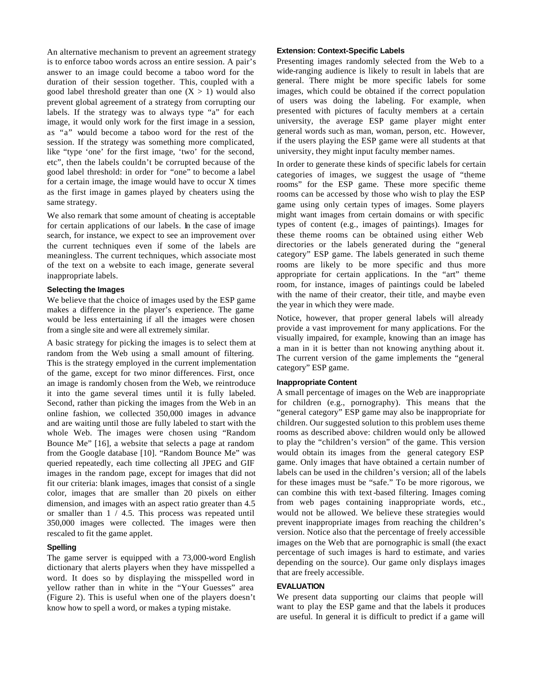An alternative mechanism to prevent an agreement strategy is to enforce taboo words across an entire session. A pair's answer to an image could become a taboo word for the duration of their session together. This, coupled with a good label threshold greater than one  $(X > 1)$  would also prevent global agreement of a strategy from corrupting our labels. If the strategy was to always type "a" for each image, it would only work for the first image in a session, as "a" would become a taboo word for the rest of the session. If the strategy was something more complicated, like "type 'one' for the first image, 'two' for the second, etc", then the labels couldn't be corrupted because of the good label threshold: in order for "one" to become a label for a certain image, the image would have to occur X times as the first image in games played by cheaters using the same strategy.

We also remark that some amount of cheating is acceptable for certain applications of our labels. In the case of image search, for instance, we expect to see an improvement over the current techniques even if some of the labels are meaningless. The current techniques, which associate most of the text on a website to each image, generate several inappropriate labels.

# **Selecting the Images**

We believe that the choice of images used by the ESP game makes a difference in the player's experience. The game would be less entertaining if all the images were chosen from a single site and were all extremely similar.

A basic strategy for picking the images is to select them at random from the Web using a small amount of filtering. This is the strategy employed in the current implementation of the game, except for two minor differences. First, once an image is randomly chosen from the Web, we reintroduce it into the game several times until it is fully labeled. Second, rather than picking the images from the Web in an online fashion, we collected 350,000 images in advance and are waiting until those are fully labeled to start with the whole Web. The images were chosen using "Random Bounce Me" [16], a website that selects a page at random from the Google database [10]. "Random Bounce Me" was queried repeatedly, each time collecting all JPEG and GIF images in the random page, except for images that did not fit our criteria: blank images, images that consist of a single color, images that are smaller than 20 pixels on either dimension, and images with an aspect ratio greater than 4.5 or smaller than 1 / 4.5. This process was repeated until 350,000 images were collected. The images were then rescaled to fit the game applet.

## **Spelling**

The game server is equipped with a 73,000-word English dictionary that alerts players when they have misspelled a word. It does so by displaying the misspelled word in yellow rather than in white in the "Your Guesses" area (Figure 2). This is useful when one of the players doesn't know how to spell a word, or makes a typing mistake.

## **Extension: Context-Specific Labels**

Presenting images randomly selected from the Web to a wide-ranging audience is likely to result in labels that are general. There might be more specific labels for some images, which could be obtained if the correct population of users was doing the labeling. For example, when presented with pictures of faculty members at a certain university, the average ESP game player might enter general words such as man, woman, person, etc. However, if the users playing the ESP game were all students at that university, they might input faculty member names.

In order to generate these kinds of specific labels for certain categories of images, we suggest the usage of "theme rooms" for the ESP game. These more specific theme rooms can be accessed by those who wish to play the ESP game using only certain types of images. Some players might want images from certain domains or with specific types of content (e.g., images of paintings). Images for these theme rooms can be obtained using either Web directories or the labels generated during the "general category" ESP game. The labels generated in such theme rooms are likely to be more specific and thus more appropriate for certain applications. In the "art" theme room, for instance, images of paintings could be labeled with the name of their creator, their title, and maybe even the year in which they were made.

Notice, however, that proper general labels will already provide a vast improvement for many applications. For the visually impaired, for example, knowing than an image has a man in it is better than not knowing anything about it. The current version of the game implements the "general category" ESP game.

# **Inappropriate Content**

A small percentage of images on the Web are inappropriate for children (e.g., pornography). This means that the "general category" ESP game may also be inappropriate for children. Our suggested solution to this problem uses theme rooms as described above: children would only be allowed to play the "children's version" of the game. This version would obtain its images from the general category ESP game. Only images that have obtained a certain number of labels can be used in the children's version; all of the labels for these images must be "safe." To be more rigorous, we can combine this with text-based filtering. Images coming from web pages containing inappropriate words, etc., would not be allowed. We believe these strategies would prevent inappropriate images from reaching the children's version. Notice also that the percentage of freely accessible images on the Web that are pornographic is small (the exact percentage of such images is hard to estimate, and varies depending on the source). Our game only displays images that are freely accessible.

# **EVALUATION**

We present data supporting our claims that people will want to play the ESP game and that the labels it produces are useful. In general it is difficult to predict if a game will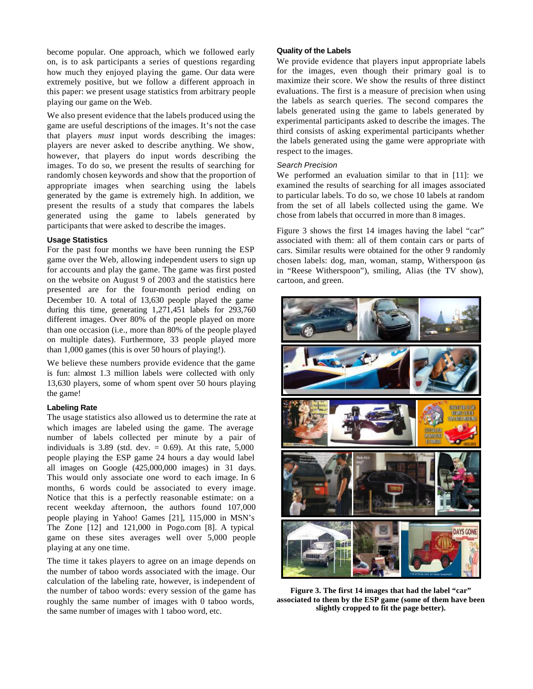become popular. One approach, which we followed early on, is to ask participants a series of questions regarding how much they enjoyed playing the game. Our data were extremely positive, but we follow a different approach in this paper: we present usage statistics from arbitrary people playing our game on the Web.

We also present evidence that the labels produced using the game are useful descriptions of the images. It's not the case that players *must* input words describing the images: players are never asked to describe anything. We show, however, that players do input words describing the images. To do so, we present the results of searching for randomly chosen keywords and show that the proportion of appropriate images when searching using the labels generated by the game is extremely high. In addition, we present the results of a study that compares the labels generated using the game to labels generated by participants that were asked to describe the images.

# **Usage Statistics**

For the past four months we have been running the ESP game over the Web, allowing independent users to sign up for accounts and play the game. The game was first posted on the website on August 9 of 2003 and the statistics here presented are for the four-month period ending on December 10. A total of 13,630 people played the game during this time, generating 1,271,451 labels for 293,760 different images. Over 80% of the people played on more than one occasion (i.e., more than 80% of the people played on multiple dates). Furthermore, 33 people played more than 1,000 games (this is over 50 hours of playing!).

We believe these numbers provide evidence that the game is fun: almost 1.3 million labels were collected with only 13,630 players, some of whom spent over 50 hours playing the game!

# **Labeling Rate**

The usage statistics also allowed us to determine the rate at which images are labeled using the game. The average number of labels collected per minute by a pair of individuals is  $3.89$  (std. dev. = 0.69). At this rate,  $5,000$ people playing the ESP game 24 hours a day would label all images on Google (425,000,000 images) in 31 days. This would only associate one word to each image. In 6 months, 6 words could be associated to every image. Notice that this is a perfectly reasonable estimate: on a recent weekday afternoon, the authors found 107,000 people playing in Yahoo! Games [21], 115,000 in MSN's The Zone [12] and 121,000 in Pogo.com [8]. A typical game on these sites averages well over 5,000 people playing at any one time.

The time it takes players to agree on an image depends on the number of taboo words associated with the image. Our calculation of the labeling rate, however, is independent of the number of taboo words: every session of the game has roughly the same number of images with 0 taboo words, the same number of images with 1 taboo word, etc.

## **Quality of the Labels**

We provide evidence that players input appropriate labels for the images, even though their primary goal is to maximize their score. We show the results of three distinct evaluations. The first is a measure of precision when using the labels as search queries. The second compares the labels generated using the game to labels generated by experimental participants asked to describe the images. The third consists of asking experimental participants whether the labels generated using the game were appropriate with respect to the images.

#### *Search Precision*

We performed an evaluation similar to that in [11]: we examined the results of searching for all images associated to particular labels. To do so, we chose 10 labels at random from the set of all labels collected using the game. We chose from labels that occurred in more than 8 images.

Figure 3 shows the first 14 images having the label "car" associated with them: all of them contain cars or parts of cars. Similar results were obtained for the other 9 randomly chosen labels: dog, man, woman, stamp, Witherspoon (as in "Reese Witherspoon"), smiling, Alias (the TV show), cartoon, and green.



**Figure 3. The first 14 images that had the label "car" associated to them by the ESP game (some of them have been slightly cropped to fit the page better).**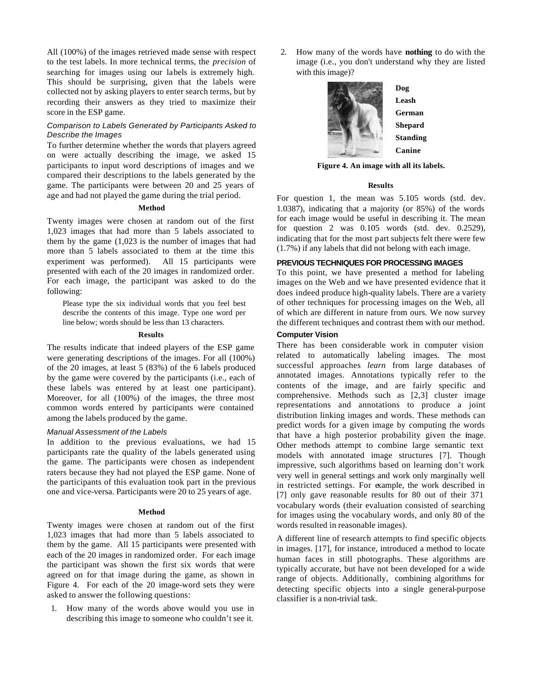All (100%) of the images retrieved made sense with respect to the test labels. In more technical terms, the *precision* of searching for images using our labels is extremely high. This should be surprising, given that the labels were collected not by asking players to enter search terms, but by recording their answers as they tried to maximize their score in the ESP game.

# *Comparison to Labels Generated by Participants Asked to Describe the Images*

To further determine whether the words that players agreed on were actually describing the image, we asked 15 participants to input word descriptions of images and we compared their descriptions to the labels generated by the game. The participants were between 20 and 25 years of age and had not played the game during the trial period.

## **Method**

Twenty images were chosen at random out of the first 1,023 images that had more than 5 labels associated to them by the game (1,023 is the number of images that had more than 5 labels associated to them at the time this experiment was performed). All 15 participants were presented with each of the 20 images in randomized order. For each image, the participant was asked to do the following:

Please type the six individual words that you feel best describe the contents of this image. Type one word per line below; words should be less than 13 characters.

### **Results**

The results indicate that indeed players of the ESP game were generating descriptions of the images. For all (100%) of the 20 images, at least 5 (83%) of the 6 labels produced by the game were covered by the participants (i.e., each of these labels was entered by at least one participant). Moreover, for all (100%) of the images, the three most common words entered by participants were contained among the labels produced by the game.

#### *Manual Assessment of the Labels*

In addition to the previous evaluations, we had 15 participants rate the quality of the labels generated using the game. The participants were chosen as independent raters because they had not played the ESP game. None of the participants of this evaluation took part in the previous one and vice-versa. Participants were 20 to 25 years of age.

#### **Method**

Twenty images were chosen at random out of the first 1,023 images that had more than 5 labels associated to them by the game. All 15 participants were presented with each of the 20 images in randomized order. For each image the participant was shown the first six words that were agreed on for that image during the game, as shown in Figure 4. For each of the 20 image-word sets they were asked to answer the following questions:

1. How many of the words above would you use in describing this image to someone who couldn't see it.

2. How many of the words have **nothing** to do with the image (i.e., you don't understand why they are listed with this image)?



**Dog Leash German Shepard Standing Canine**

**Figure 4. An image with all its labels.**

#### **Results**

For question 1, the mean was 5.105 words (std. dev. 1.0387), indicating that a majority (or 85%) of the words for each image would be useful in describing it. The mean for question 2 was 0.105 words (std. dev. 0.2529), indicating that for the most part subjects felt there were few (1.7%) if any labels that did not belong with each image.

# **PREVIOUS TECHNIQUES FOR PROCESSING IMAGES**

To this point, we have presented a method for labeling images on the Web and we have presented evidence that it does indeed produce high-quality labels. There are a variety of other techniques for processing images on the Web, all of which are different in nature from ours. We now survey the different techniques and contrast them with our method.

# **Computer Vision**

There has been considerable work in computer vision related to automatically labeling images. The most successful approaches *learn* from large databases of annotated images. Annotations typically refer to the contents of the image, and are fairly specific and comprehensive. Methods such as [2,3] cluster image representations and annotations to produce a joint distribution linking images and words. These methods can predict words for a given image by computing the words that have a high posterior probability given the image. Other methods attempt to combine large semantic text models with annotated image structures [7]. Though impressive, such algorithms based on learning don't work very well in general settings and work only marginally well in restricted settings. For example, the work described in [7] only gave reasonable results for 80 out of their 371 vocabulary words (their evaluation consisted of searching for images using the vocabulary words, and only 80 of the words resulted in reasonable images).

A different line of research attempts to find specific objects in images. [17], for instance, introduced a method to locate human faces in still photographs. These algorithms are typically accurate, but have not been developed for a wide range of objects. Additionally, combining algorithms for detecting specific objects into a single general-purpose classifier is a non-trivial task.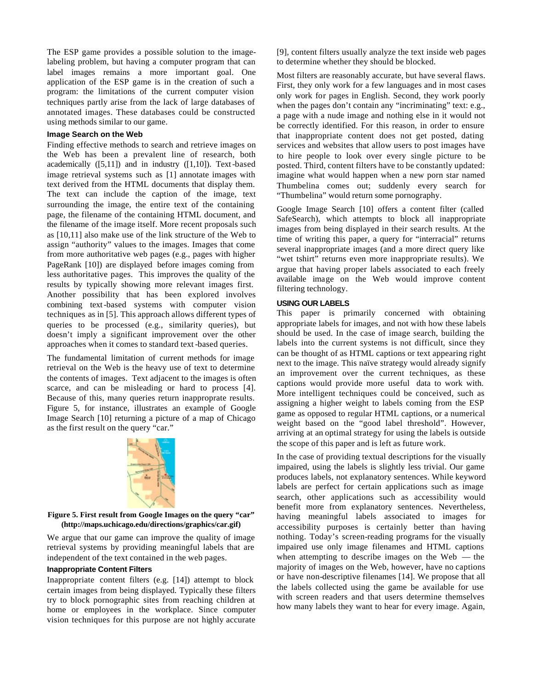The ESP game provides a possible solution to the imagelabeling problem, but having a computer program that can label images remains a more important goal. One application of the ESP game is in the creation of such a program: the limitations of the current computer vision techniques partly arise from the lack of large databases of annotated images. These databases could be constructed using methods similar to our game.

# **Image Search on the Web**

Finding effective methods to search and retrieve images on the Web has been a prevalent line of research, both academically ([5,11]) and in industry ([1,10]). Text-based image retrieval systems such as [1] annotate images with text derived from the HTML documents that display them. The text can include the caption of the image, text surrounding the image, the entire text of the containing page, the filename of the containing HTML document, and the filename of the image itself. More recent proposals such as [10,11] also make use of the link structure of the Web to assign "authority" values to the images. Images that come from more authoritative web pages (e.g., pages with higher PageRank [10]) are displayed before images coming from less authoritative pages. This improves the quality of the results by typically showing more relevant images first. Another possibility that has been explored involves combining text-based systems with computer vision techniques as in [5]. This approach allows different types of queries to be processed (e.g., similarity queries), but doesn't imply a significant improvement over the other approaches when it comes to standard text -based queries.

The fundamental limitation of current methods for image retrieval on the Web is the heavy use of text to determine the contents of images. Text adjacent to the images is often scarce, and can be misleading or hard to process [4]. Because of this, many queries return inapproprate results. Figure 5, for instance, illustrates an example of Google Image Search [10] returning a picture of a map of Chicago as the first result on the query "car."



**Figure 5. First result from Google Images on the query "car" (http://maps.uchicago.edu/directions/graphics/car.gif)**

We argue that our game can improve the quality of image retrieval systems by providing meaningful labels that are independent of the text contained in the web pages.

## **Inappropriate Content Filters**

Inappropriate content filters (e.g. [14]) attempt to block certain images from being displayed. Typically these filters try to block pornographic sites from reaching children at home or employees in the workplace. Since computer vision techniques for this purpose are not highly accurate

[9], content filters usually analyze the text inside web pages to determine whether they should be blocked.

Most filters are reasonably accurate, but have several flaws. First, they only work for a few languages and in most cases only work for pages in English. Second, they work poorly when the pages don't contain any "incriminating" text: e.g., a page with a nude image and nothing else in it would not be correctly identified. For this reason, in order to ensure that inappropriate content does not get posted, dating services and websites that allow users to post images have to hire people to look over every single picture to be posted. Third, content filters have to be constantly updated: imagine what would happen when a new porn star named Thumbelina comes out; suddenly every search for "Thumbelina" would return some pornography.

Google Image Search [10] offers a content filter (called SafeSearch), which attempts to block all inappropriate images from being displayed in their search results. At the time of writing this paper, a query for "interracial" returns several inappropriate images (and a more direct query like "wet tshirt" returns even more inappropriate results). We argue that having proper labels associated to each freely available image on the Web would improve content filtering technology.

#### **USING OUR LABELS**

This paper is primarily concerned with obtaining appropriate labels for images, and not with how these labels should be used. In the case of image search, building the labels into the current systems is not difficult, since they can be thought of as HTML captions or text appearing right next to the image. This naïve strategy would already signify an improvement over the current techniques, as these captions would provide more useful data to work with. More intelligent techniques could be conceived, such as assigning a higher weight to labels coming from the ESP game as opposed to regular HTML captions, or a numerical weight based on the "good label threshold". However, arriving at an optimal strategy for using the labels is outside the scope of this paper and is left as future work.

In the case of providing textual descriptions for the visually impaired, using the labels is slightly less trivial. Our game produces labels, not explanatory sentences. While keyword labels are perfect for certain applications such as image search, other applications such as accessibility would benefit more from explanatory sentences. Nevertheless, having meaningful labels associated to images for accessibility purposes is certainly better than having nothing. Today's screen-reading programs for the visually impaired use only image filenames and HTML captions when attempting to describe images on the Web — the majority of images on the Web, however, have no captions or have non-descriptive filenames [14]. We propose that all the labels collected using the game be available for use with screen readers and that users determine themselves how many labels they want to hear for every image. Again,